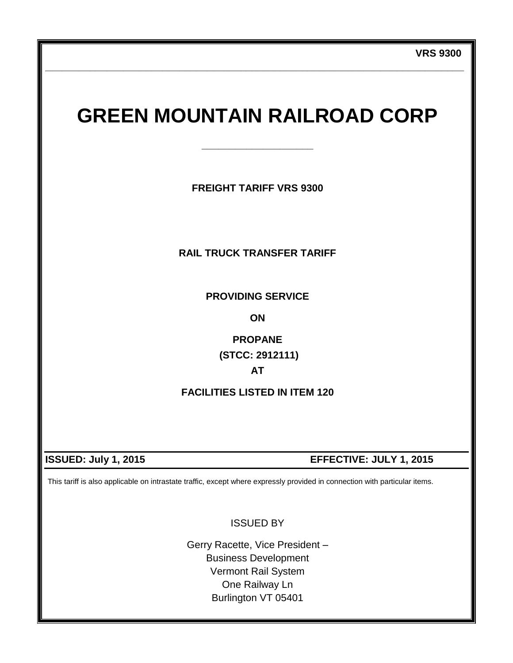# **GREEN MOUNTAIN RAILROAD CORP**

**\_\_\_\_\_\_\_\_\_\_\_\_\_\_\_\_\_\_\_\_**

**\_\_\_\_\_\_\_\_\_\_\_\_\_\_\_\_\_\_\_\_\_\_\_\_\_\_\_\_\_\_\_\_\_\_\_\_\_\_\_\_\_\_\_\_\_\_\_\_\_\_\_\_\_\_\_\_\_\_\_\_\_\_\_\_\_\_\_\_\_\_\_\_\_\_\_**

**FREIGHT TARIFF VRS 9300**

## **RAIL TRUCK TRANSFER TARIFF**

**PROVIDING SERVICE**

**ON**

**PROPANE (STCC: 2912111)**

**AT**

**FACILITIES LISTED IN ITEM 120**

# **ISSUED: July 1, 2015 EFFECTIVE: JULY 1, 2015**

This tariff is also applicable on intrastate traffic, except where expressly provided in connection with particular items.

ISSUED BY

Gerry Racette, Vice President – Business Development Vermont Rail System One Railway Ln Burlington VT 05401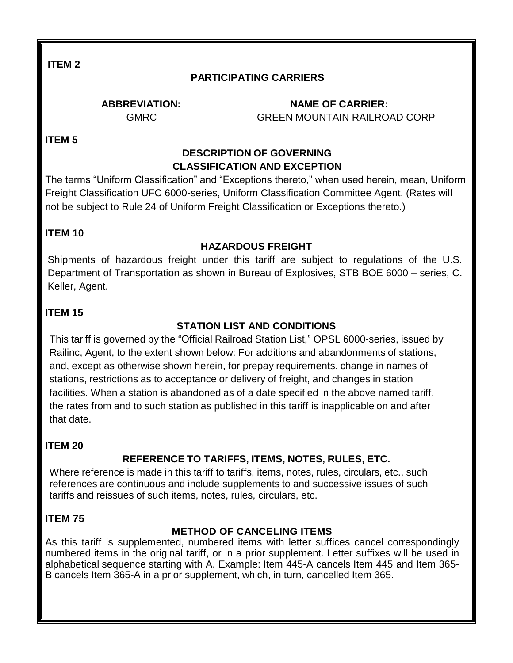# **PARTICIPATING CARRIERS**

 **ABBREVIATION: NAME OF CARRIER:** GMRC GREEN MOUNTAIN RAILROAD CORP

**ITEM 5**

#### **DESCRIPTION OF GOVERNING CLASSIFICATION AND EXCEPTION**

The terms "Uniform Classification" and "Exceptions thereto," when used herein, mean, Uniform Freight Classification UFC 6000-series, Uniform Classification Committee Agent. (Rates will not be subject to Rule 24 of Uniform Freight Classification or Exceptions thereto.)

#### **ITEM 10**

## **HAZARDOUS FREIGHT**

Shipments of hazardous freight under this tariff are subject to regulations of the U.S. Department of Transportation as shown in Bureau of Explosives, STB BOE 6000 – series, C. Keller, Agent.

#### **ITEM 15**

## **STATION LIST AND CONDITIONS**

This tariff is governed by the "Official Railroad Station List," OPSL 6000-series, issued by Railinc, Agent, to the extent shown below: For additions and abandonments of stations, and, except as otherwise shown herein, for prepay requirements, change in names of stations, restrictions as to acceptance or delivery of freight, and changes in station facilities. When a station is abandoned as of a date specified in the above named tariff, the rates from and to such station as published in this tariff is inapplicable on and after that date.

#### **ITEM 20**

# **REFERENCE TO TARIFFS, ITEMS, NOTES, RULES, ETC.**

Where reference is made in this tariff to tariffs, items, notes, rules, circulars, etc., such references are continuous and include supplements to and successive issues of such tariffs and reissues of such items, notes, rules, circulars, etc.

#### **ITEM 75**

## **METHOD OF CANCELING ITEMS**

As this tariff is supplemented, numbered items with letter suffices cancel correspondingly numbered items in the original tariff, or in a prior supplement. Letter suffixes will be used in alphabetical sequence starting with A. Example: Item 445-A cancels Item 445 and Item 365- B cancels Item 365-A in a prior supplement, which, in turn, cancelled Item 365.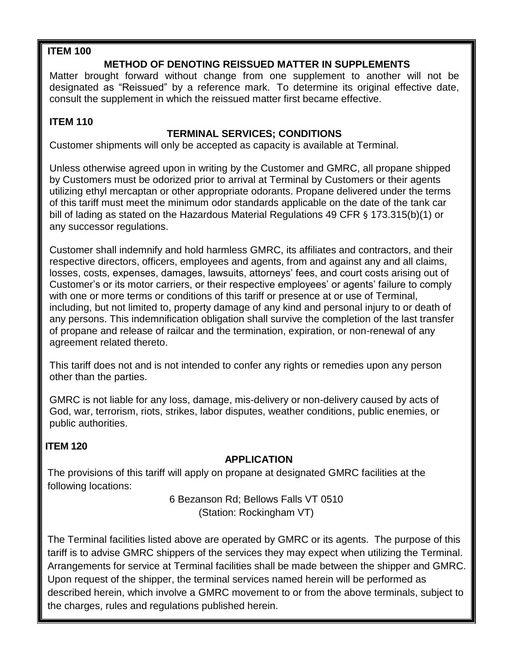## **METHOD OF DENOTING REISSUED MATTER IN SUPPLEMENTS**

Matter brought forward without change from one supplement to another will not be designated as "Reissued" by a reference mark. To determine its original effective date, consult the supplement in which the reissued matter first became effective.

#### **ITEM 110**

## **TERMINAL SERVICES; CONDITIONS**

Customer shipments will only be accepted as capacity is available at Terminal.

Unless otherwise agreed upon in writing by the Customer and GMRC, all propane shipped by Customers must be odorized prior to arrival at Terminal by Customers or their agents utilizing ethyl mercaptan or other appropriate odorants. Propane delivered under the terms of this tariff must meet the minimum odor standards applicable on the date of the tank car bill of lading as stated on the Hazardous Material Regulations 49 CFR § 173.315(b)(1) or any successor regulations.

Customer shall indemnify and hold harmless GMRC, its affiliates and contractors, and their respective directors, officers, employees and agents, from and against any and all claims, losses, costs, expenses, damages, lawsuits, attorneys' fees, and court costs arising out of Customer's or its motor carriers, or their respective employees' or agents' failure to comply with one or more terms or conditions of this tariff or presence at or use of Terminal, including, but not limited to, property damage of any kind and personal injury to or death of any persons. This indemnification obligation shall survive the completion of the last transfer of propane and release of railcar and the termination, expiration, or non-renewal of any agreement related thereto.

This tariff does not and is not intended to confer any rights or remedies upon any person other than the parties.

GMRC is not liable for any loss, damage, mis-delivery or non-delivery caused by acts of God, war, terrorism, riots, strikes, labor disputes, weather conditions, public enemies, or public authorities.

## **ITEM 120**

# **APPLICATION**

The provisions of this tariff will apply on propane at designated GMRC facilities at the following locations:

> 6 Bezanson Rd; Bellows Falls VT 0510 (Station: Rockingham VT)

The Terminal facilities listed above are operated by GMRC or its agents. The purpose of this tariff is to advise GMRC shippers of the services they may expect when utilizing the Terminal. Arrangements for service at Terminal facilities shall be made between the shipper and GMRC. Upon request of the shipper, the terminal services named herein will be performed as described herein, which involve a GMRC movement to or from the above terminals, subject to the charges, rules and regulations published herein.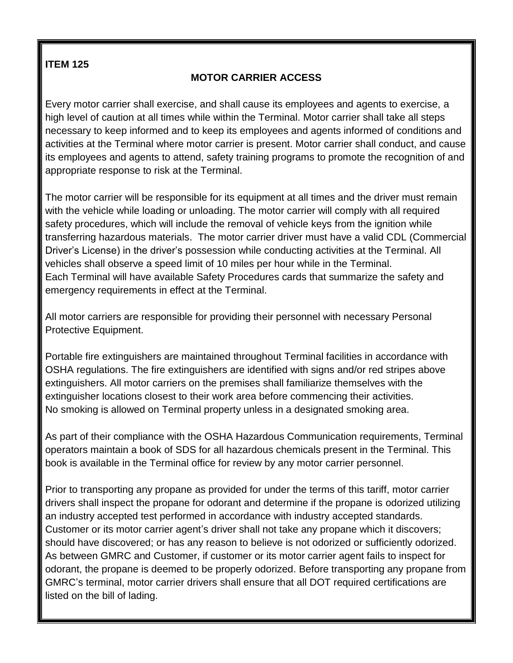# **MOTOR CARRIER ACCESS**

Every motor carrier shall exercise, and shall cause its employees and agents to exercise, a high level of caution at all times while within the Terminal. Motor carrier shall take all steps necessary to keep informed and to keep its employees and agents informed of conditions and activities at the Terminal where motor carrier is present. Motor carrier shall conduct, and cause its employees and agents to attend, safety training programs to promote the recognition of and appropriate response to risk at the Terminal.

The motor carrier will be responsible for its equipment at all times and the driver must remain with the vehicle while loading or unloading. The motor carrier will comply with all required safety procedures, which will include the removal of vehicle keys from the ignition while transferring hazardous materials. The motor carrier driver must have a valid CDL (Commercial Driver's License) in the driver's possession while conducting activities at the Terminal. All vehicles shall observe a speed limit of 10 miles per hour while in the Terminal. Each Terminal will have available Safety Procedures cards that summarize the safety and emergency requirements in effect at the Terminal.

All motor carriers are responsible for providing their personnel with necessary Personal Protective Equipment.

Portable fire extinguishers are maintained throughout Terminal facilities in accordance with OSHA regulations. The fire extinguishers are identified with signs and/or red stripes above extinguishers. All motor carriers on the premises shall familiarize themselves with the extinguisher locations closest to their work area before commencing their activities. No smoking is allowed on Terminal property unless in a designated smoking area.

As part of their compliance with the OSHA Hazardous Communication requirements, Terminal operators maintain a book of SDS for all hazardous chemicals present in the Terminal. This book is available in the Terminal office for review by any motor carrier personnel.

Prior to transporting any propane as provided for under the terms of this tariff, motor carrier drivers shall inspect the propane for odorant and determine if the propane is odorized utilizing an industry accepted test performed in accordance with industry accepted standards. Customer or its motor carrier agent's driver shall not take any propane which it discovers; should have discovered; or has any reason to believe is not odorized or sufficiently odorized. As between GMRC and Customer, if customer or its motor carrier agent fails to inspect for odorant, the propane is deemed to be properly odorized. Before transporting any propane from GMRC's terminal, motor carrier drivers shall ensure that all DOT required certifications are listed on the bill of lading.